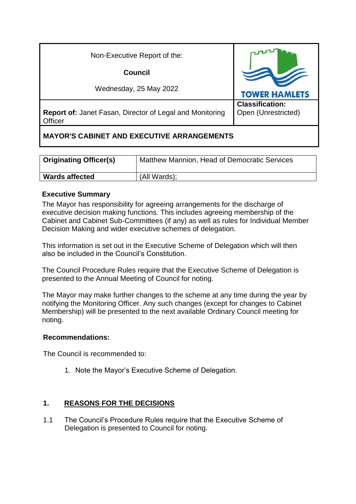| Non-Executive Report of the:                                                      |                                               |
|-----------------------------------------------------------------------------------|-----------------------------------------------|
| Council                                                                           |                                               |
| Wednesday, 25 May 2022                                                            | <b>TOWER HAMLETS</b>                          |
| <b>Report of: Janet Fasan, Director of Legal and Monitoring</b><br><b>Officer</b> | <b>Classification:</b><br>Open (Unrestricted) |

# **MAYOR'S CABINET AND EXECUTIVE ARRANGEMENTS**

| <b>Originating Officer(s)</b> | Matthew Mannion, Head of Democratic Services |
|-------------------------------|----------------------------------------------|
| <b>Wards affected</b>         | (All Wards);                                 |

# **Executive Summary**

The Mayor has responsibility for agreeing arrangements for the discharge of executive decision making functions. This includes agreeing membership of the Cabinet and Cabinet Sub-Committees (if any) as well as rules for Individual Member Decision Making and wider executive schemes of delegation.

This information is set out in the Executive Scheme of Delegation which will then also be included in the Council's Constitution.

The Council Procedure Rules require that the Executive Scheme of Delegation is presented to the Annual Meeting of Council for noting.

The Mayor may make further changes to the scheme at any time during the year by notifying the Monitoring Officer. Any such changes (except for changes to Cabinet Membership) will be presented to the next available Ordinary Council meeting for noting.

### **Recommendations:**

The Council is recommended to:

1. Note the Mayor's Executive Scheme of Delegation.

# **1. REASONS FOR THE DECISIONS**

1.1 The Council's Procedure Rules require that the Executive Scheme of Delegation is presented to Council for noting.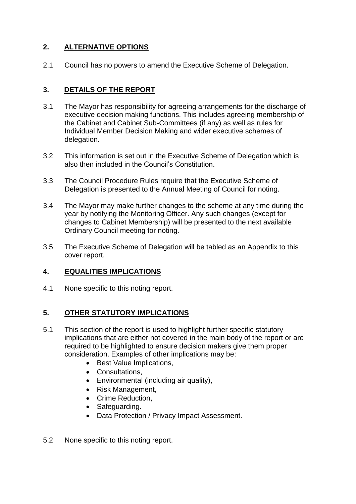# **2. ALTERNATIVE OPTIONS**

2.1 Council has no powers to amend the Executive Scheme of Delegation.

## **3. DETAILS OF THE REPORT**

- 3.1 The Mayor has responsibility for agreeing arrangements for the discharge of executive decision making functions. This includes agreeing membership of the Cabinet and Cabinet Sub-Committees (if any) as well as rules for Individual Member Decision Making and wider executive schemes of delegation.
- 3.2 This information is set out in the Executive Scheme of Delegation which is also then included in the Council's Constitution.
- 3.3 The Council Procedure Rules require that the Executive Scheme of Delegation is presented to the Annual Meeting of Council for noting.
- 3.4 The Mayor may make further changes to the scheme at any time during the year by notifying the Monitoring Officer. Any such changes (except for changes to Cabinet Membership) will be presented to the next available Ordinary Council meeting for noting.
- 3.5 The Executive Scheme of Delegation will be tabled as an Appendix to this cover report.

### **4. EQUALITIES IMPLICATIONS**

4.1 None specific to this noting report.

### **5. OTHER STATUTORY IMPLICATIONS**

- 5.1 This section of the report is used to highlight further specific statutory implications that are either not covered in the main body of the report or are required to be highlighted to ensure decision makers give them proper consideration. Examples of other implications may be:
	- Best Value Implications.
	- Consultations,
	- Environmental (including air quality),
	- Risk Management,
	- Crime Reduction.
	- Safeguarding.
	- Data Protection / Privacy Impact Assessment.
- 5.2 None specific to this noting report.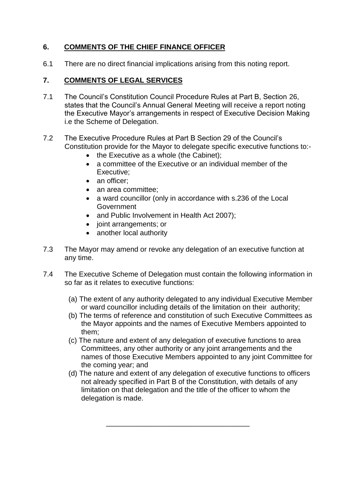### **6. COMMENTS OF THE CHIEF FINANCE OFFICER**

6.1 There are no direct financial implications arising from this noting report.

### **7. COMMENTS OF LEGAL SERVICES**

- 7.1 The Council's Constitution Council Procedure Rules at Part B, Section 26, states that the Council's Annual General Meeting will receive a report noting the Executive Mayor's arrangements in respect of Executive Decision Making i.e the Scheme of Delegation.
- 7.2 The Executive Procedure Rules at Part B Section 29 of the Council's Constitution provide for the Mayor to delegate specific executive functions to:-
	- $\bullet$  the Executive as a whole (the Cabinet);
	- a committee of the Executive or an individual member of the Executive;
	- an officer:
	- an area committee;
	- a ward councillor (only in accordance with s.236 of the Local Government
	- and Public Involvement in Health Act 2007);
	- joint arrangements; or
	- another local authority
- 7.3 The Mayor may amend or revoke any delegation of an executive function at any time.
- 7.4 The Executive Scheme of Delegation must contain the following information in so far as it relates to executive functions:
	- (a) The extent of any authority delegated to any individual Executive Member or ward councillor including details of the limitation on their authority;
	- (b) The terms of reference and constitution of such Executive Committees as the Mayor appoints and the names of Executive Members appointed to them;
	- (c) The nature and extent of any delegation of executive functions to area Committees, any other authority or any joint arrangements and the names of those Executive Members appointed to any joint Committee for the coming year; and
	- (d) The nature and extent of any delegation of executive functions to officers not already specified in Part B of the Constitution, with details of any limitation on that delegation and the title of the officer to whom the delegation is made.

\_\_\_\_\_\_\_\_\_\_\_\_\_\_\_\_\_\_\_\_\_\_\_\_\_\_\_\_\_\_\_\_\_\_\_\_